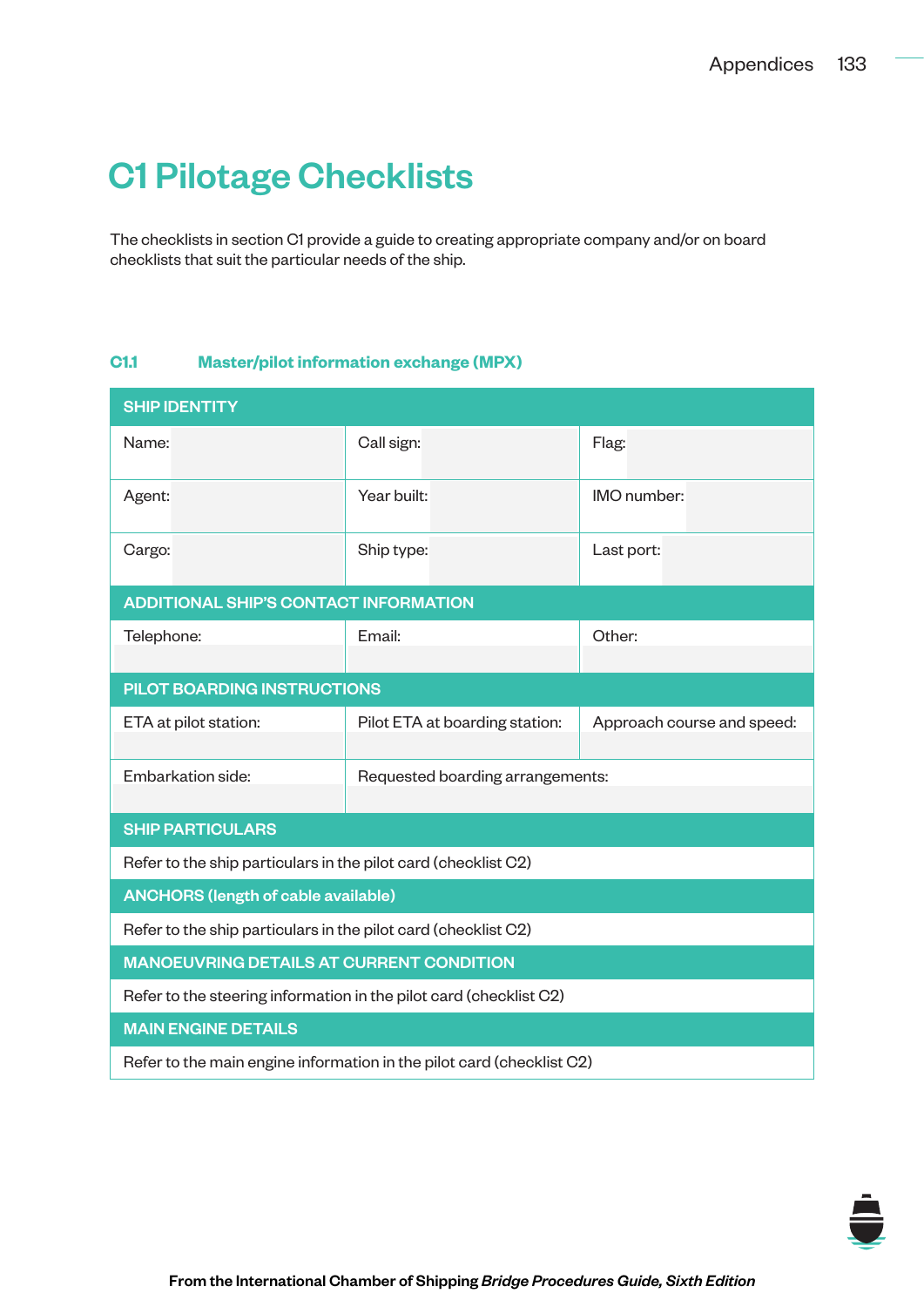## C1 Pilotage Checklists

The checklists in section C1 provide a guide to creating appropriate company and/or on board checklists that suit the particular needs of the ship.

## **C1.1 Master/pilot information exchange (MPX)**

| <b>SHIP IDENTITY</b>                                                  |                                  |                            |  |  |  |  |
|-----------------------------------------------------------------------|----------------------------------|----------------------------|--|--|--|--|
| Name:                                                                 | Call sign:                       | Flag:                      |  |  |  |  |
| Agent:                                                                | Year built:                      | IMO number:                |  |  |  |  |
| Cargo:                                                                | Ship type:                       | Last port:                 |  |  |  |  |
| <b>ADDITIONAL SHIP'S CONTACT INFORMATION</b>                          |                                  |                            |  |  |  |  |
| Telephone:                                                            | Email:                           | Other:                     |  |  |  |  |
| PILOT BOARDING INSTRUCTIONS                                           |                                  |                            |  |  |  |  |
| ETA at pilot station:                                                 | Pilot ETA at boarding station:   | Approach course and speed: |  |  |  |  |
| Embarkation side:                                                     | Requested boarding arrangements: |                            |  |  |  |  |
| <b>SHIP PARTICULARS</b>                                               |                                  |                            |  |  |  |  |
| Refer to the ship particulars in the pilot card (checklist C2)        |                                  |                            |  |  |  |  |
| <b>ANCHORS (length of cable available)</b>                            |                                  |                            |  |  |  |  |
| Refer to the ship particulars in the pilot card (checklist C2)        |                                  |                            |  |  |  |  |
| <b>MANOEUVRING DETAILS AT CURRENT CONDITION</b>                       |                                  |                            |  |  |  |  |
| Refer to the steering information in the pilot card (checklist C2)    |                                  |                            |  |  |  |  |
| <b>MAIN ENGINE DETAILS</b>                                            |                                  |                            |  |  |  |  |
| Refer to the main engine information in the pilot card (checklist C2) |                                  |                            |  |  |  |  |

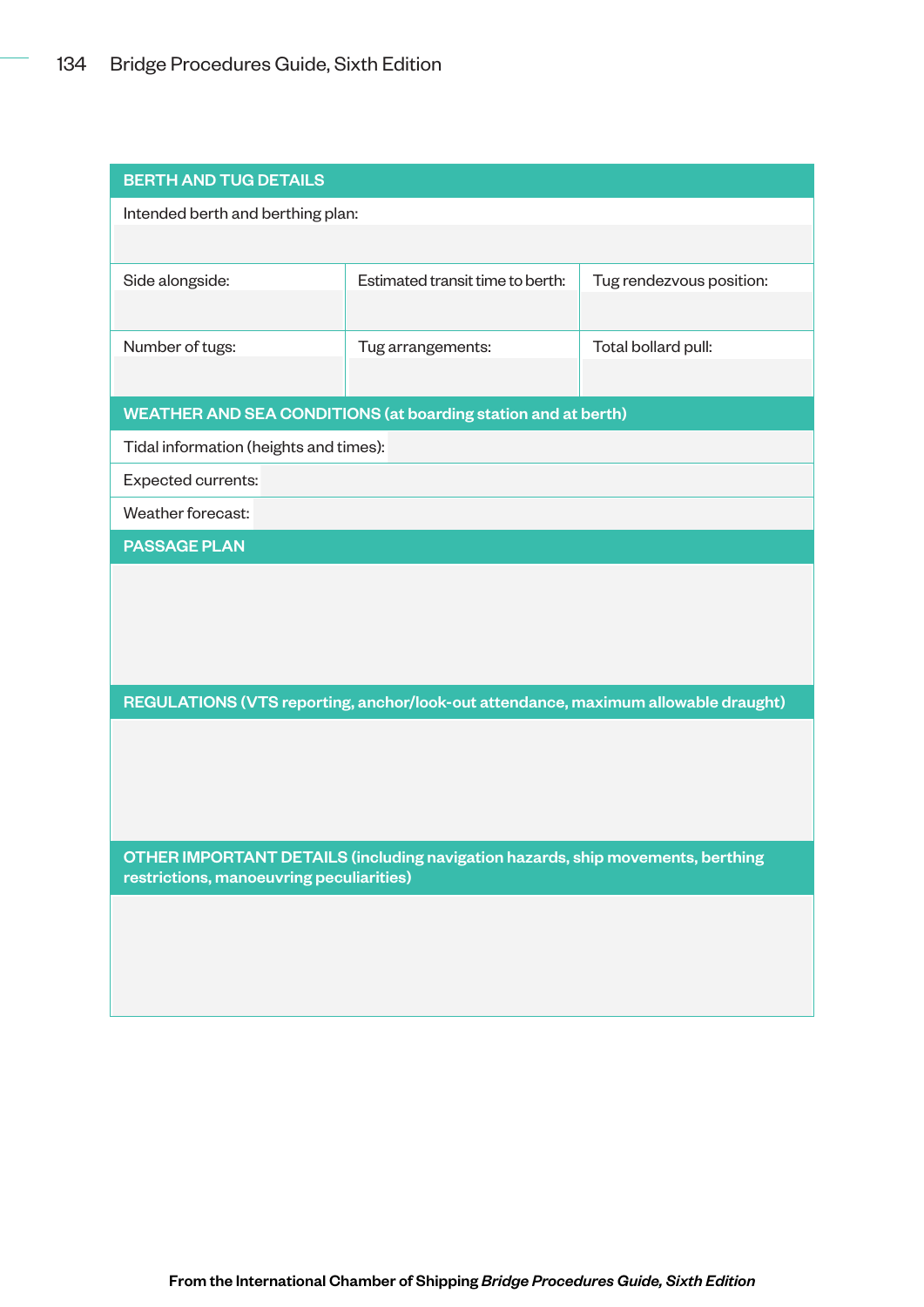| <b>BERTH AND TUG DETAILS</b>                                                    |                                                                                    |                          |  |  |  |  |
|---------------------------------------------------------------------------------|------------------------------------------------------------------------------------|--------------------------|--|--|--|--|
| Intended berth and berthing plan:                                               |                                                                                    |                          |  |  |  |  |
|                                                                                 |                                                                                    |                          |  |  |  |  |
| Side alongside:                                                                 | Estimated transit time to berth:                                                   | Tug rendezvous position: |  |  |  |  |
|                                                                                 |                                                                                    |                          |  |  |  |  |
| Number of tugs:                                                                 | Tug arrangements:                                                                  | Total bollard pull:      |  |  |  |  |
|                                                                                 |                                                                                    |                          |  |  |  |  |
|                                                                                 | <b>WEATHER AND SEA CONDITIONS (at boarding station and at berth)</b>               |                          |  |  |  |  |
| Tidal information (heights and times):                                          |                                                                                    |                          |  |  |  |  |
| Expected currents:                                                              |                                                                                    |                          |  |  |  |  |
| Weather forecast:                                                               |                                                                                    |                          |  |  |  |  |
| <b>PASSAGE PLAN</b>                                                             |                                                                                    |                          |  |  |  |  |
|                                                                                 |                                                                                    |                          |  |  |  |  |
|                                                                                 |                                                                                    |                          |  |  |  |  |
|                                                                                 |                                                                                    |                          |  |  |  |  |
|                                                                                 |                                                                                    |                          |  |  |  |  |
|                                                                                 | REGULATIONS (VTS reporting, anchor/look-out attendance, maximum allowable draught) |                          |  |  |  |  |
|                                                                                 |                                                                                    |                          |  |  |  |  |
|                                                                                 |                                                                                    |                          |  |  |  |  |
|                                                                                 |                                                                                    |                          |  |  |  |  |
| OTHER IMPORTANT DETAILS (including navigation hazards, ship movements, berthing |                                                                                    |                          |  |  |  |  |
| restrictions, manoeuvring peculiarities)                                        |                                                                                    |                          |  |  |  |  |
|                                                                                 |                                                                                    |                          |  |  |  |  |
|                                                                                 |                                                                                    |                          |  |  |  |  |
|                                                                                 |                                                                                    |                          |  |  |  |  |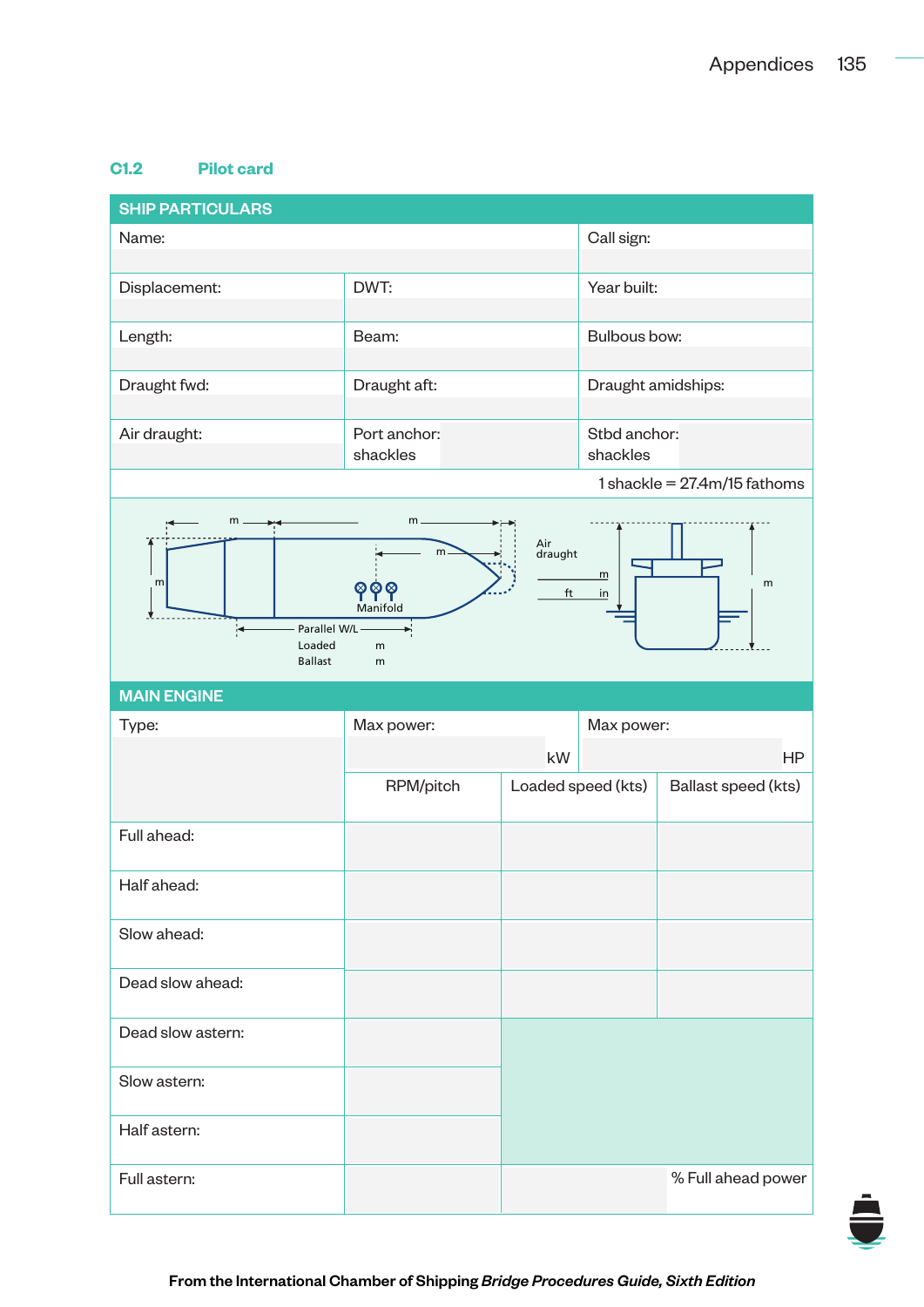## **C1.2 Pilot card**

| <b>SHIP PARTICULARS</b>                                                                                                                                      |                          |    |                          |                                      |  |  |
|--------------------------------------------------------------------------------------------------------------------------------------------------------------|--------------------------|----|--------------------------|--------------------------------------|--|--|
| Name:                                                                                                                                                        |                          |    | Call sign:               |                                      |  |  |
|                                                                                                                                                              |                          |    |                          |                                      |  |  |
| Displacement:                                                                                                                                                | DWT:                     |    | Year built:              |                                      |  |  |
| Length:                                                                                                                                                      | Beam:                    |    | Bulbous bow:             |                                      |  |  |
| Draught fwd:                                                                                                                                                 | Draught aft:             |    | Draught amidships:       |                                      |  |  |
| Air draught:                                                                                                                                                 | Port anchor:<br>shackles |    | Stbd anchor:<br>shackles |                                      |  |  |
|                                                                                                                                                              |                          |    |                          | $1$ shackle = $27.4$ m/ $15$ fathoms |  |  |
| $m -$<br>m <sub>1</sub><br>Air<br>draught<br>m<br>m<br>m<br>m<br>ၜၜၜ<br>ft<br>in<br>Manifold<br>Parallel W/L ·<br>Loaded<br>${\sf m}$<br><b>Ballast</b><br>m |                          |    |                          |                                      |  |  |
|                                                                                                                                                              |                          |    |                          |                                      |  |  |
| <b>MAIN ENGINE</b>                                                                                                                                           |                          |    |                          |                                      |  |  |
| Type:                                                                                                                                                        | Max power:               |    | Max power:               |                                      |  |  |
|                                                                                                                                                              |                          | kW |                          | <b>HP</b>                            |  |  |
|                                                                                                                                                              | RPM/pitch                |    | Loaded speed (kts)       | Ballast speed (kts)                  |  |  |
| Full ahead:                                                                                                                                                  |                          |    |                          |                                      |  |  |
| Half ahead:                                                                                                                                                  |                          |    |                          |                                      |  |  |
| Slow ahead:                                                                                                                                                  |                          |    |                          |                                      |  |  |
| Dead slow ahead:                                                                                                                                             |                          |    |                          |                                      |  |  |
| Dead slow astern:                                                                                                                                            |                          |    |                          |                                      |  |  |
| Slow astern:                                                                                                                                                 |                          |    |                          |                                      |  |  |
| Half astern:                                                                                                                                                 |                          |    |                          |                                      |  |  |

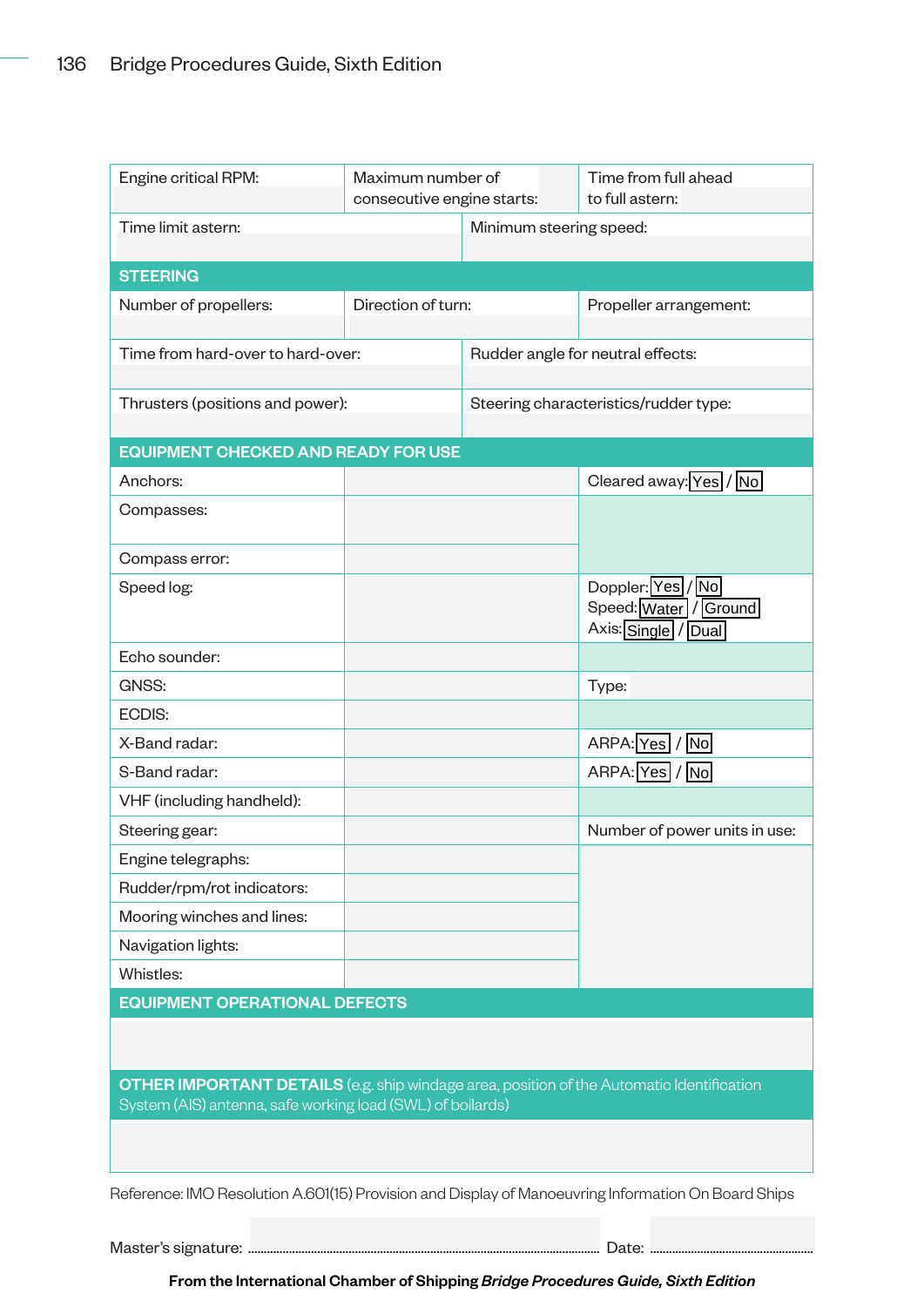| Engine critical RPM:                                                                                                                                                                                   | Maximum number of<br>consecutive engine starts: |                                       | Time from full ahead<br>to full astern:                           |  |  |  |  |
|--------------------------------------------------------------------------------------------------------------------------------------------------------------------------------------------------------|-------------------------------------------------|---------------------------------------|-------------------------------------------------------------------|--|--|--|--|
| Time limit astern:                                                                                                                                                                                     | Minimum steering speed:                         |                                       |                                                                   |  |  |  |  |
| <b>STEERING</b>                                                                                                                                                                                        |                                                 |                                       |                                                                   |  |  |  |  |
| Number of propellers:                                                                                                                                                                                  | Direction of turn:                              |                                       | Propeller arrangement:                                            |  |  |  |  |
| Time from hard-over to hard-over:                                                                                                                                                                      |                                                 | Rudder angle for neutral effects:     |                                                                   |  |  |  |  |
| Thrusters (positions and power):                                                                                                                                                                       |                                                 | Steering characteristics/rudder type: |                                                                   |  |  |  |  |
| <b>EQUIPMENT CHECKED AND READY FOR USE</b>                                                                                                                                                             |                                                 |                                       |                                                                   |  |  |  |  |
| Anchors:                                                                                                                                                                                               |                                                 |                                       | Cleared away: Yes / No                                            |  |  |  |  |
| Compasses:                                                                                                                                                                                             |                                                 |                                       |                                                                   |  |  |  |  |
| Compass error:                                                                                                                                                                                         |                                                 |                                       |                                                                   |  |  |  |  |
| Speed log:                                                                                                                                                                                             |                                                 |                                       | Doppler: Yes / No<br>Speed: Water / Ground<br>Axis: Single / Dual |  |  |  |  |
| Echo sounder:                                                                                                                                                                                          |                                                 |                                       |                                                                   |  |  |  |  |
| GNSS:                                                                                                                                                                                                  |                                                 |                                       | Type:                                                             |  |  |  |  |
| ECDIS:                                                                                                                                                                                                 |                                                 |                                       |                                                                   |  |  |  |  |
| X-Band radar:                                                                                                                                                                                          |                                                 |                                       | ARPA: Yes / No                                                    |  |  |  |  |
| S-Band radar:                                                                                                                                                                                          |                                                 |                                       | ARPA: Yes / No                                                    |  |  |  |  |
| VHF (including handheld):                                                                                                                                                                              |                                                 |                                       |                                                                   |  |  |  |  |
| Steering gear:                                                                                                                                                                                         |                                                 |                                       | Number of power units in use:                                     |  |  |  |  |
| Engine telegraphs:                                                                                                                                                                                     |                                                 |                                       |                                                                   |  |  |  |  |
| Rudder/rpm/rot indicators:                                                                                                                                                                             |                                                 |                                       |                                                                   |  |  |  |  |
| Mooring winches and lines:                                                                                                                                                                             |                                                 |                                       |                                                                   |  |  |  |  |
| Navigation lights:                                                                                                                                                                                     |                                                 |                                       |                                                                   |  |  |  |  |
| Whistles:                                                                                                                                                                                              |                                                 |                                       |                                                                   |  |  |  |  |
| <b>EQUIPMENT OPERATIONAL DEFECTS</b><br><b>OTHER IMPORTANT DETAILS</b> (e.g. ship windage area, position of the Automatic Identification<br>System (AIS) antenna, safe working load (SWL) of bollards) |                                                 |                                       |                                                                   |  |  |  |  |
|                                                                                                                                                                                                        |                                                 |                                       |                                                                   |  |  |  |  |
| Reference: IMO Resolution A.601(15) Provision and Display of Manoeuvring Information On Board Ships                                                                                                    |                                                 |                                       |                                                                   |  |  |  |  |
|                                                                                                                                                                                                        |                                                 |                                       |                                                                   |  |  |  |  |

From the International Chamber of Shipping *Bridge Procedures Guide, Sixth Edition*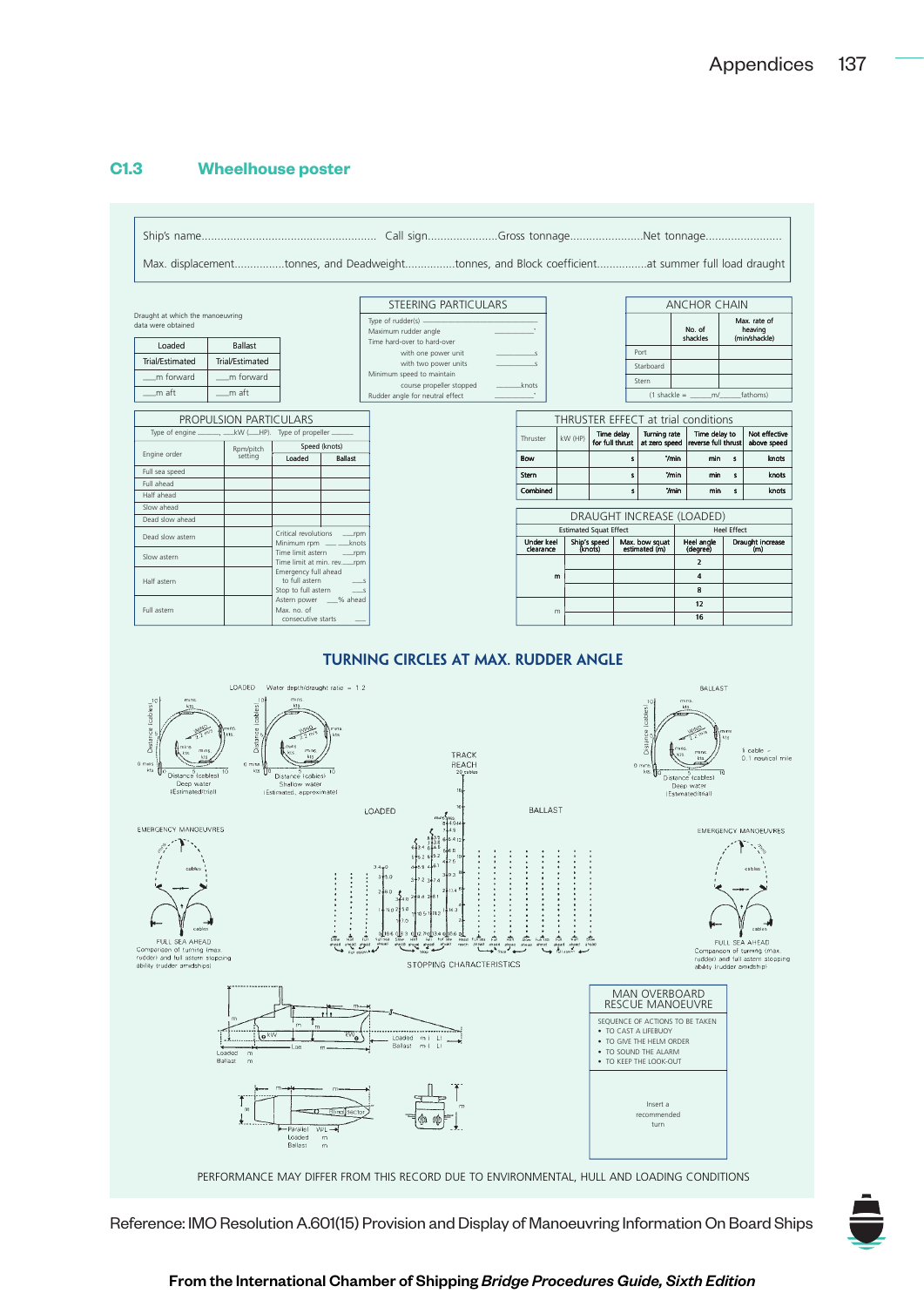## **C1.3 Wheelhouse poster**



Reference: IMO Resolution A.601(15) Provision and Display of Manoeuvring Information On Board Ships